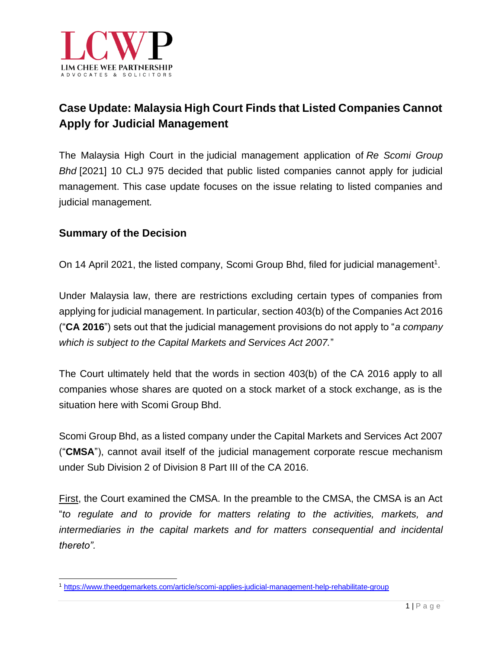

# **Case Update: Malaysia High Court Finds that Listed Companies Cannot Apply for Judicial Management**

The Malaysia High Court in the judicial [management](https://www.bursamalaysia.com/market_information/announcements/company_announcement/announcement_details?ann_id=3197896) application of *Re Scomi Group Bhd* [2021] 10 CLJ 975 decided that public listed companies cannot apply for judicial management. This case update focuses on the issue relating to listed companies and judicial management.

#### **Summary of the Decision**

On 14 April 2021, the listed company, Scomi Group Bhd, filed for judicial management<sup>1</sup>.

Under Malaysia law, there are restrictions excluding certain types of companies from applying for judicial management. In particular, section 403(b) of the Companies Act 2016 ("**CA 2016**") sets out that the judicial management provisions do not apply to "*a company which is subject to the Capital Markets and Services Act 2007.*"

The Court ultimately held that the words in section 403(b) of the CA 2016 apply to all companies whose shares are quoted on a stock market of a stock exchange, as is the situation here with Scomi Group Bhd.

Scomi Group Bhd, as a listed company under the Capital Markets and Services Act 2007 ("**CMSA**"), cannot avail itself of the judicial management corporate rescue mechanism under Sub Division 2 of Division 8 Part III of the CA 2016.

First, the Court examined the CMSA. In the preamble to the CMSA, the CMSA is an Act "*to regulate and to provide for matters relating to the activities, markets, and intermediaries in the capital markets and for matters consequential and incidental thereto".*

<sup>1</sup> <https://www.theedgemarkets.com/article/scomi-applies-judicial-management-help-rehabilitate-group>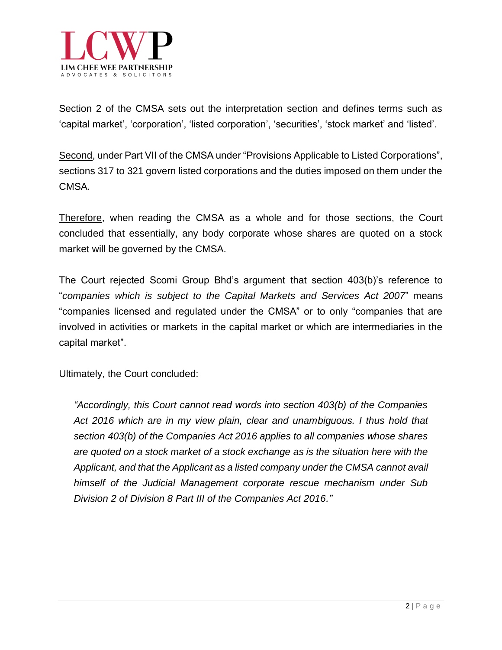

Section 2 of the CMSA sets out the interpretation section and defines terms such as 'capital market', 'corporation', 'listed corporation', 'securities', 'stock market' and 'listed'.

Second, under Part VII of the CMSA under "Provisions Applicable to Listed Corporations", sections 317 to 321 govern listed corporations and the duties imposed on them under the CMSA.

Therefore, when reading the CMSA as a whole and for those sections, the Court concluded that essentially, any body corporate whose shares are quoted on a stock market will be governed by the CMSA.

The Court rejected Scomi Group Bhd's argument that section 403(b)'s reference to "*companies which is subject to the Capital Markets and Services Act 2007*" means "companies licensed and regulated under the CMSA" or to only "companies that are involved in activities or markets in the capital market or which are intermediaries in the capital market".

Ultimately, the Court concluded:

*"Accordingly, this Court cannot read words into section 403(b) of the Companies Act 2016 which are in my view plain, clear and unambiguous. I thus hold that section 403(b) of the Companies Act 2016 applies to all companies whose shares are quoted on a stock market of a stock exchange as is the situation here with the Applicant, and that the Applicant as a listed company under the CMSA cannot avail himself of the Judicial Management corporate rescue mechanism under Sub Division 2 of Division 8 Part III of the Companies Act 2016."*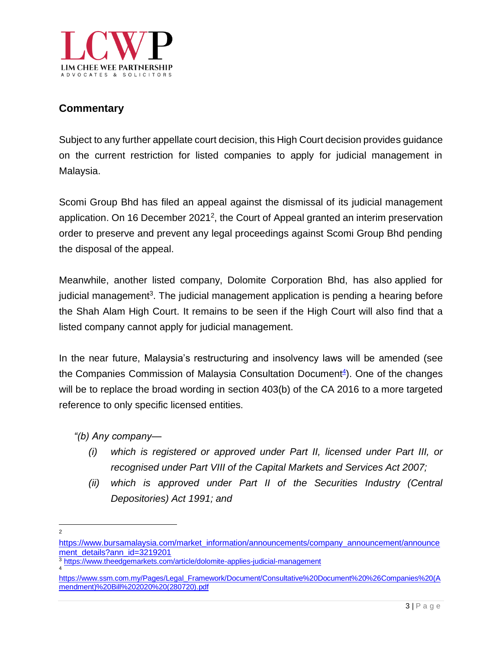

### **Commentary**

Subject to any further appellate court decision, this High Court decision provides guidance on the current restriction for listed companies to apply for judicial management in Malaysia.

Scomi Group Bhd has filed an appeal against the dismissal of its judicial management application. On 16 December 2021<sup>2</sup>, the Court of Appeal granted an interim preservation order to preserve and prevent any legal proceedings against Scomi Group Bhd pending the disposal of the appeal.

Meanwhile, another listed company, Dolomite Corporation Bhd, has also [applied](https://www.theedgemarkets.com/article/dolomite-applies-judicial-management) for judicial [management](https://www.theedgemarkets.com/article/dolomite-applies-judicial-management)<sup>3</sup>. The judicial management application is pending a hearing before the Shah Alam High Court. It remains to be seen if the High Court will also find that a listed company cannot apply for judicial management.

In the near future, Malaysia's restructuring and insolvency laws will be amended (see the Companies Commission of Malaysia [Consultation](https://www.ssm.com.my/Pages/Legal_Framework/Document/Consultative%20Document%20%26Companies%20(Amendment)%20Bill%202020%20(280720).pdf) Document<sup>4</sup>). One of the changes will be to replace the broad wording in section 403(b) of the CA 2016 to a more targeted reference to only specific licensed entities.

*"(b) Any company—*

- *(i) which is registered or approved under Part II, licensed under Part III, or recognised under Part VIII of the Capital Markets and Services Act 2007;*
- *(ii) which is approved under Part II of the Securities Industry (Central Depositories) Act 1991; and*

 $\overline{2}$ 

[https://www.bursamalaysia.com/market\\_information/announcements/company\\_announcement/announce](https://www.bursamalaysia.com/market_information/announcements/company_announcement/announcement_details?ann_id=3219201) [ment\\_details?ann\\_id=3219201](https://www.bursamalaysia.com/market_information/announcements/company_announcement/announcement_details?ann_id=3219201)

<sup>3</sup> <https://www.theedgemarkets.com/article/dolomite-applies-judicial-management> 4

[https://www.ssm.com.my/Pages/Legal\\_Framework/Document/Consultative%20Document%20%26Companies%20\(A](https://www.ssm.com.my/Pages/Legal_Framework/Document/Consultative%20Document%20%26Companies%20(Amendment)%20Bill%202020%20(280720).pdf) [mendment\)%20Bill%202020%20\(280720\).pdf](https://www.ssm.com.my/Pages/Legal_Framework/Document/Consultative%20Document%20%26Companies%20(Amendment)%20Bill%202020%20(280720).pdf)